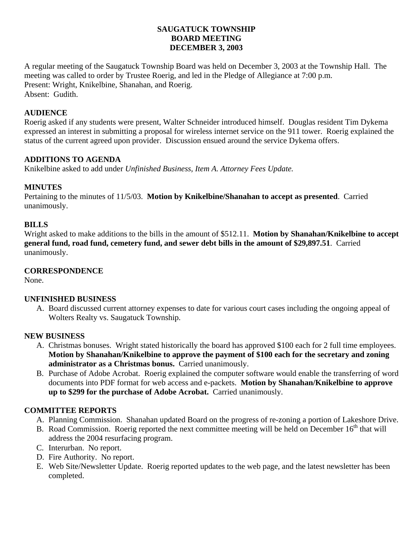### **SAUGATUCK TOWNSHIP BOARD MEETING DECEMBER 3, 2003**

A regular meeting of the Saugatuck Township Board was held on December 3, 2003 at the Township Hall. The meeting was called to order by Trustee Roerig, and led in the Pledge of Allegiance at 7:00 p.m. Present: Wright, Knikelbine, Shanahan, and Roerig. Absent: Gudith.

## **AUDIENCE**

Roerig asked if any students were present, Walter Schneider introduced himself. Douglas resident Tim Dykema expressed an interest in submitting a proposal for wireless internet service on the 911 tower. Roerig explained the status of the current agreed upon provider. Discussion ensued around the service Dykema offers.

### **ADDITIONS TO AGENDA**

Knikelbine asked to add under *Unfinished Business, Item A. Attorney Fees Update.* 

### **MINUTES**

Pertaining to the minutes of 11/5/03. **Motion by Knikelbine/Shanahan to accept as presented**. Carried unanimously.

# **BILLS**

Wright asked to make additions to the bills in the amount of \$512.11. **Motion by Shanahan/Knikelbine to accept general fund, road fund, cemetery fund, and sewer debt bills in the amount of \$29,897.51**. Carried unanimously.

### **CORRESPONDENCE**

None.

### **UNFINISHED BUSINESS**

A. Board discussed current attorney expenses to date for various court cases including the ongoing appeal of Wolters Realty vs. Saugatuck Township.

### **NEW BUSINESS**

- A. Christmas bonuses. Wright stated historically the board has approved \$100 each for 2 full time employees. **Motion by Shanahan/Knikelbine to approve the payment of \$100 each for the secretary and zoning administrator as a Christmas bonus.** Carried unanimously.
- B. Purchase of Adobe Acrobat. Roerig explained the computer software would enable the transferring of word documents into PDF format for web access and e-packets. **Motion by Shanahan/Knikelbine to approve up to \$299 for the purchase of Adobe Acrobat.** Carried unanimously.

### **COMMITTEE REPORTS**

- A. Planning Commission. Shanahan updated Board on the progress of re-zoning a portion of Lakeshore Drive.
- B. Road Commission. Roerig reported the next committee meeting will be held on December  $16<sup>th</sup>$  that will address the 2004 resurfacing program.
- C. Interurban. No report.
- D. Fire Authority. No report.
- E. Web Site/Newsletter Update. Roerig reported updates to the web page, and the latest newsletter has been completed.